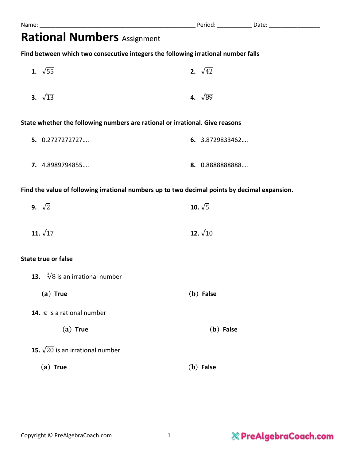| <b>Rational Numbers Assignment</b>                                                |                                                                                               |
|-----------------------------------------------------------------------------------|-----------------------------------------------------------------------------------------------|
| Find between which two consecutive integers the following irrational number falls |                                                                                               |
| 1. $\sqrt{55}$                                                                    | 2. $\sqrt{42}$                                                                                |
| 3. $\sqrt{13}$                                                                    | 4. $\sqrt{89}$                                                                                |
| State whether the following numbers are rational or irrational. Give reasons      |                                                                                               |
| 5. 0.2727272727                                                                   | 6. 3.8729833462                                                                               |
| 7. 4.8989794855                                                                   | 8. 0.8888888888                                                                               |
|                                                                                   | Find the value of following irrational numbers up to two decimal points by decimal expansion. |
| 9. $\sqrt{2}$                                                                     | 10. $\sqrt{5}$                                                                                |
| 11. $\sqrt{17}$                                                                   | 12. $\sqrt{10}$                                                                               |
| <b>State true or false</b>                                                        |                                                                                               |
| 13. $\sqrt[3]{8}$ is an irrational number                                         |                                                                                               |
| $(a)$ True                                                                        | $(b)$ False                                                                                   |
| <b>14.</b> $\pi$ is a rational number                                             |                                                                                               |
| $(a)$ True                                                                        | $(b)$ False                                                                                   |
| 15. $\sqrt{20}$ is an irrational number                                           |                                                                                               |

() **True** () **False**

## $\%$  PreAlgebraCoach.com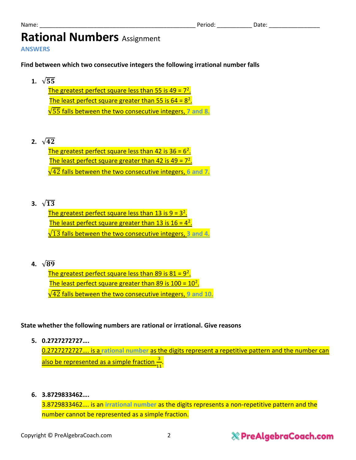## **Rational Numbers** Assignment

**ANSWERS**

**Find between which two consecutive integers the following irrational number falls**

- 1.  $\sqrt{55}$ **The greatest perfect square less than 55 is 49 = 7<sup>2</sup>.** The least perfect square greater than 55 is  $64 = 8^2$ . √55 falls between the two consecutive integers, **7 and 8.**
- **2.**  $\sqrt{42}$

The greatest perfect square less than 42 is  $36 = 6^2$ . The least perfect square greater than 42 is 49 =  $7^2$ . √42 falls between the two consecutive integers, **6 and 7.**

**3.**  $\sqrt{13}$ 

The greatest perfect square less than  $13$  is  $9 = 3^2$ . The least perfect square greater than 13 is  $16 = 4^2$ . √13 falls between the two consecutive integers, **3 and 4.**

**4.**  $\sqrt{89}$ 

The greatest perfect square less than 89 is  $81 = 9^2$ . The least perfect square greater than 89 is 100 = 10<sup>2</sup>. √42 falls between the two consecutive integers, **9 and 10.**

#### **State whether the following numbers are rational or irrational. Give reasons**

**5. 0.2727272727….**

0.2727272727…. is a **rational number** as the digits represent a repetitive pattern and the number can <u>also be represented as a simple fraction  $\frac{3}{11}$ .</u>

**6. 3.8729833462….**

3.8729833462…. is an **irrational number** as the digits represents a non-repetitive pattern and the number cannot be represented as a simple fraction.

### **& PreAlgebraCoach.com**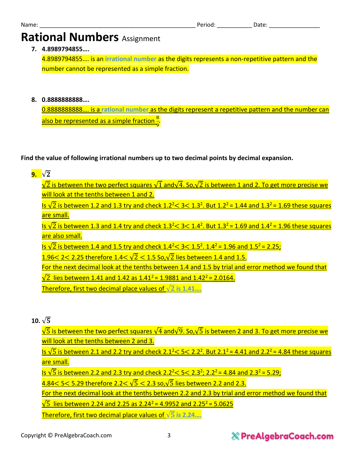# **Rational Numbers** Assignment

**7. 4.8989794855….**

4.8989794855…. is an **irrational number** as the digits represents a non-repetitive pattern and the number cannot be represented as a simple fraction.

**8. 0.8888888888….**

0.8888888888…. is a **rational number** as the digits represent a repetitive pattern and the number can also be represented as a simple fraction  $\frac{8}{9}$ .

**Find the value of following irrational numbers up to two decimal points by decimal expansion.**

| 9. | $\sqrt{2}$                                                                                                                                                         |
|----|--------------------------------------------------------------------------------------------------------------------------------------------------------------------|
|    | $\sqrt{2}$ is between the two perfect squares $\sqrt{1}$ and $\sqrt{4}$ . So, $\sqrt{2}$ is between 1 and 2. To get more precise we                                |
|    | will look at the tenths between 1 and 2.                                                                                                                           |
|    | Is $\sqrt{2}$ is between 1.2 and 1.3 try and check 1.2 <sup>2</sup> < 3 < 1.3 <sup>2</sup> . But 1.2 <sup>2</sup> = 1.44 and 1.3 <sup>2</sup> = 1.69 these squares |
|    | are small.                                                                                                                                                         |
|    | Is $\sqrt{2}$ is between 1.3 and 1.4 try and check 1.3 <sup>2</sup> < 3 < 1.4 <sup>2</sup> . But 1.3 <sup>2</sup> = 1.69 and 1.4 <sup>2</sup> = 1.96 these squares |
|    | are also small.                                                                                                                                                    |
|    | Is $\sqrt{2}$ is between 1.4 and 1.5 try and check 1.4 <sup>2</sup> < 3 < 1.5 <sup>2</sup> . 1.4 <sup>2</sup> = 1.96 and 1.5 <sup>2</sup> = 2.25;                  |
|    | 1.96 < 2 < 2.25 therefore 1.4 < $\sqrt{2}$ < 1.5 So, $\sqrt{2}$ lies between 1.4 and 1.5.                                                                          |
|    | For the next decimal look at the tenths between 1.4 and 1.5 by trial and error method we found that                                                                |
|    | $\sqrt{2}$ lies between 1.41 and 1.42 as 1.41 <sup>2</sup> = 1.9881 and 1.42 <sup>2</sup> = 2.0164.                                                                |

Therefore, first two decimal place values of  $\sqrt{2}$  is 1.41....

**10.**  $\sqrt{5}$ 

 $\sqrt{5}$  is between the two perfect squares  $\sqrt{4}$  and $\sqrt{9}$ . So, $\sqrt{5}$  is between 2 and 3. To get more precise we will look at the tenths between 2 and 3.

<u>Is √5 is between 2.1 and 2.2 try and check 2.1<sup>2</sup> < 5 < 2.2<sup>2</sup>. But 2.1<sup>2</sup> = 4.41 and 2.2<sup>2</sup> = 4.84 these squares</u> are small.

<u>Is √5 is between 2.2 and 2.3 try and check 2.2<sup>2</sup> < 5 < 2.3<sup>2</sup>; 2.2<sup>2</sup> = 4.84 and 2.3<sup>2</sup> = 5.29;</u>

 $4.84 < 5 < 5.29$  therefore 2.2 $< \sqrt{5} < 2.3$  so,  $\sqrt{5}$  lies between 2.2 and 2.3.

For the next decimal look at the tenths between 2.2 and 2.3 by trial and error method we found that

 $\sqrt{5}$  lies between 2.24 and 2.25 as 2.24<sup>2</sup> = 4.9952 and 2.25<sup>2</sup> = 5.0625

Therefore, first two decimal place values of √ **is 2.24….**

### **& PreAlgebraCoach.com**